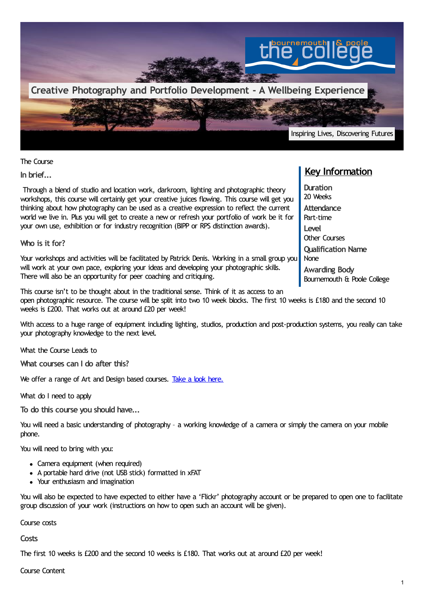

The Course

**In brief...**

Through a blend of studio and location work, darkroom, lighting and photographic theory workshops, this course will certainly get your creative juices flowing. This course will get you thinking about how photography can be used as a creative expression to reflect the current world we live in. Plus you will get to create a new or refresh your portfolio of work be it for your own use, exhibition or for industry recognition (BIPP or RPS distinction awards).

**Who is it for?**

Your workshops and activities will be facilitated by Patrick Denis. Working in a small group you will work at your own pace, exploring your ideas and developing your photographic skills. There will also be an opportunity for peer coaching and critiquing.

This course isn't to be thought about in the traditional sense. Think of it as access to an open photographic resource. The course will be split into two 10 week blocks. The first 10 weeks is £180 and the second 10 weeks is £200. That works out at around £20 per week!

With access to a huge range of equipment including lighting, studios, production and post-production systems, you really can take your photography knowledge to the next level.

What the Course Leads to

**What courses can I do after this?**

We offer a range of Art and Design based courses. Take a look [here.](https://www.thecollege.co.uk/search?f%255B0%255D=field_student_type%253A131&f%255B1%255D=field_subject_area%253A47)

What do I need to apply

**To do this course you should have...**

You will need a basic understanding of photography - a working knowledge of a camera or simply the camera on your mobile phone.

You will need to bring with you:

- Camera equipment (when required)
- A portable hard drive (not USB stick) formatted in xFAT
- Your enthusiasm and imagination

You will also be expected to have expected to either have a 'Flickr' photography account or be prepared to open one to facilitate group discussion of your work (instructions on how to open such an account will be given).

Course costs

**Costs**

The first 10 weeks is £200 and the second 10 weeks is £180. That works out at around £20 per week!

## Course Content

## **Key Information**

**Duration** 20 Weeks **Attendance** Part-time **Level** Other Courses **Qualification Name** None **Awarding Body** Bournemouth & Poole College